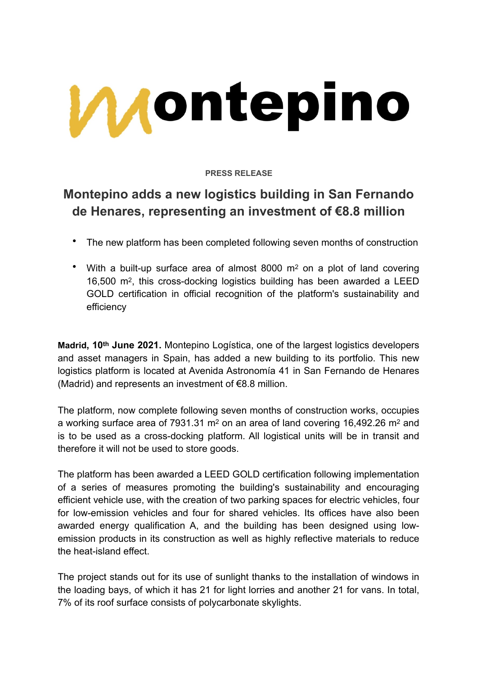

**PRESS RELEASE**

## **Montepino adds a new logistics building in San Fernando de Henares, representing an investment of €8.8 million**

- The new platform has been completed following seven months of construction
- With a built-up surface area of almost 8000 m<sup>2</sup> on a plot of land covering 16,500 m2, this cross-docking logistics building has been awarded a LEED GOLD certification in official recognition of the platform's sustainability and efficiency

**Madrid, 10th June 2021.** Montepino Logística, one of the largest logistics developers and asset managers in Spain, has added a new building to its portfolio. This new logistics platform is located at Avenida Astronomía 41 in San Fernando de Henares (Madrid) and represents an investment of €8.8 million.

The platform, now complete following seven months of construction works, occupies a working surface area of 7931.31 m2 on an area of land covering 16,492.26 m2 and is to be used as a cross-docking platform. All logistical units will be in transit and therefore it will not be used to store goods.

The platform has been awarded a LEED GOLD certification following implementation of a series of measures promoting the building's sustainability and encouraging efficient vehicle use, with the creation of two parking spaces for electric vehicles, four for low-emission vehicles and four for shared vehicles. Its offices have also been awarded energy qualification A, and the building has been designed using lowemission products in its construction as well as highly reflective materials to reduce the heat-island effect.

The project stands out for its use of sunlight thanks to the installation of windows in the loading bays, of which it has 21 for light lorries and another 21 for vans. In total, 7% of its roof surface consists of polycarbonate skylights.